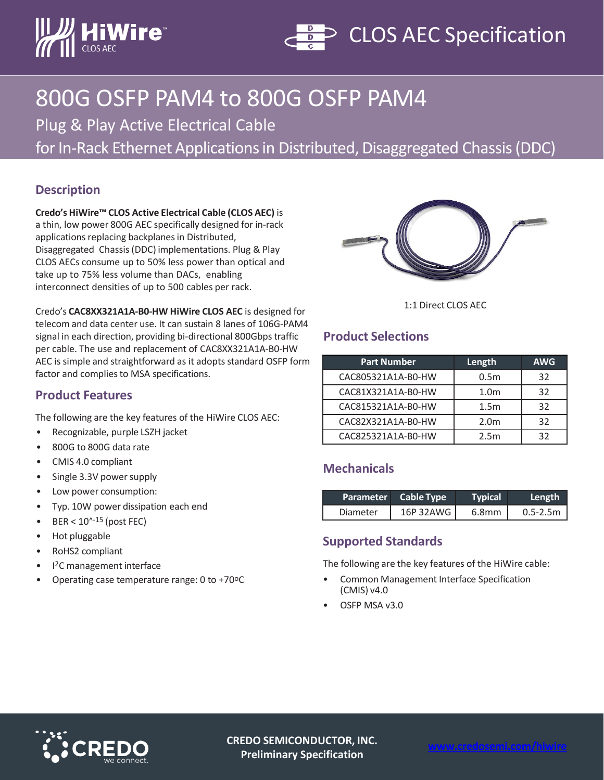



# 800G OSFP PAM4 to 800G OSFP PAM4

Plug & Play Active Electrical Cable

for In-Rack Ethernet Applications in Distributed, Disaggregated Chassis (DDC)

### **Description**

**Credo's HiWire™ CLOS Active Electrical Cable (CLOS AEC)** is a thin, low power 800G AEC specifically designed for in-rack applications replacing backplanes in Distributed, Disaggregated Chassis (DDC) implementations. Plug & Play CLOS AECs consume up to 50% less power than optical and take up to 75% less volume than DACs, enabling interconnect densities of up to 500 cables per rack.



Credo's **CAC8XX321A1A-B0-HW HiWire CLOS AEC** is designed for telecom and data center use. It can sustain 8 lanes of 106G-PAM4 signal in each direction, providing bi-directional 800Gbps traffic per cable. The use and replacement of CAC8XX321A1A-B0-HW AEC is simple and straightforward as it adopts standard OSFP form

factor and complies to MSA specifications.

## **Product Features**

The following are the key features of the HiWire CLOS AEC:

- Recognizable, purple LSZH jacket
- 800G to 800G data rate
- CMIS 4.0 compliant
- Single 3.3V power supply
- Low power consumption:
- Typ. 10W power dissipation each end
- $BER < 10^{\text{A}-15}$  (post FEC)
- Hot pluggable
- RoHS2 compliant
- I2C management interface
- Operating case temperature range: 0 to +70°C

#### 1:1 Direct CLOS AEC

### **Product Selections**

| <b>Part Number</b> | Length           | <b>AWG</b> |
|--------------------|------------------|------------|
| CAC805321A1A-B0-HW | 0.5 <sub>m</sub> | 32         |
| CAC81X321A1A-B0-HW | 1.0 <sub>m</sub> | 32         |
| CAC815321A1A-B0-HW | 1.5 <sub>m</sub> | 32         |
| CAC82X321A1A-B0-HW | 2.0 <sub>m</sub> | 32         |
| CAC825321A1A-B0-HW | 2.5m             | 32         |

# **Mechanicals**

|          | Parameter Cable Type | Typical | Length       |
|----------|----------------------|---------|--------------|
| Diameter | 16P 32AWG            | 6.8mm   | $0.5 - 2.5m$ |

#### **Supported Standards**

The following are the key features of the HiWire cable:

- Common Management Interface Specification (CMIS) v4.0
- OSFP MSA v3.0



**CREDO SEMICONDUCTOR, INC. Preliminary Specification**